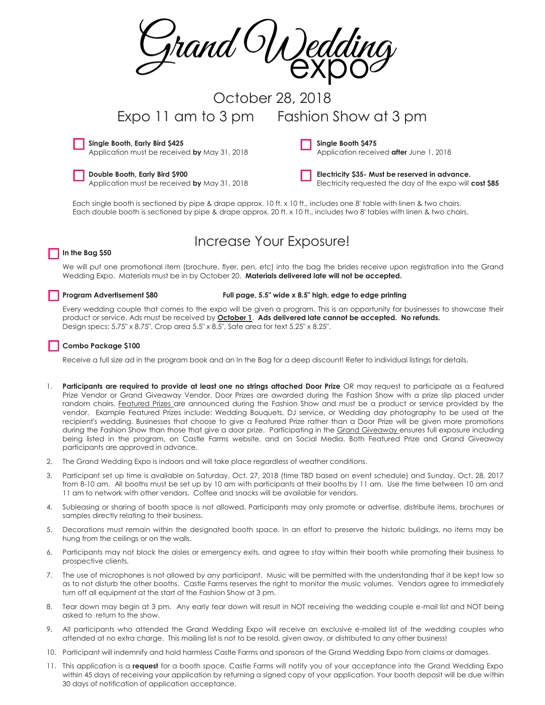rand

# October 28, 2018 Expo 11 am to 3 pm Fashion Show at 3 pm

**Single Booth, Early Bird \$425**

Application must be received **by** May 31, 2018

**Double Booth, Early Bird \$900** Application must be received **by** May 31, 2018 **Single Booth \$475** Application received **after** June 1, 2018

**Electricity \$35- Must be reserved in advance.** 

Electricity requested the day of the expo will **cost \$85**

Each single booth is sectioned by pipe & drape approx. 10 ft. x 10 ft., includes one 8' table with linen & two chairs. Each double booth is sectioned by pipe & drape approx. 20 ft. x 10 ft., includes two 8' tables with linen & two chairs.

## **In the Bag \$50**

## Increase Your Exposure!

We will put one promotional item (brochure, flyer, pen, etc) into the bag the brides receive upon registration into the Grand Wedding Expo. Materials must be in by October 20. **Materials delivered late will not be accepted.**

**Program Advertisement \$80 Full page, 5.5" wide x 8.5" high, edge to edge printing** 

Every wedding couple that comes to the expo will be given a program. This is an opportunity for businesses to showcase their product or service. Ads must be received by **October 1**. **Ads delivered late cannot be accepted. No refunds.** Design specs: 5.75" x 8.75", Crop area 5.5" x 8.5", Safe area for text 5.25" x 8.25".

### **Combo Package \$100**

Receive a full size ad in the program book and an In the Bag for a deep discount! Refer to individual listings for details.

- 1. **Participants are required to provide at least one no strings attached Door Prize OR** may request to participate as a Featured Prize Vendor or Grand Giveaway Vendor. Door Prizes are awarded during the Fashion Show with a prize slip placed under random chairs. Featured Prizes are announced during the Fashion Show and must be a product or service provided by the vendor. Example Featured Prizes include: Wedding Bouquets, DJ service, or Wedding day photography to be used at the recipient's wedding. Businesses that choose to give a Featured Prize rather than a Door Prize will be given more promotions during the Fashion Show than those that give a door prize. Participating in the Grand Giveaway ensures full exposure including being listed in the program, on Castle Farms website, and on Social Media. Both Featured Prize and Grand Giveaway participants are approved in advance.
- 2. The Grand Wedding Expo is indoors and will take place regardless of weather conditions.
- 3. Participant set up time is available on Saturday, Oct. 27, 2018 (time TBD based on event schedule) and Sunday, Oct. 28, 2017 from 8-10 am. All booths must be set up by 10 am with participants at their booths by 11 am. Use the time between 10 am and 11 am to network with other vendors. Coffee and snacks will be available for vendors.
- 4. Subleasing or sharing of booth space is not allowed. Participants may only promote or advertise, distribute items, brochures or samples directly relating to their business.
- 5. Decorations must remain within the designated booth space. In an effort to preserve the historic buildings, no items may be hung from the ceilings or on the walls.
- 6. Participants may not block the aisles or emergency exits, and agree to stay within their booth while promoting their business to prospective clients.
- 7. The use of microphones is not allowed by any participant. Music will be permitted with the understanding that it be kept low so as to not disturb the other booths. Castle Farms reserves the right to monitor the music volumes. Vendors agree to immediately turn off all equipment at the start of the Fashion Show at 3 pm.
- 8. Tear down may begin at 3 pm. Any early tear down will result in NOT receiving the wedding couple e-mail list and NOT being asked to return to the show.
- 9. All participants who attended the Grand Wedding Expo will receive an exclusive e-mailed list of the wedding couples who attended at no extra charge. This mailing list is not to be resold, given away, or distributed to any other business!
- 10. Participant will indemnify and hold harmless Castle Farms and sponsors of the Grand Wedding Expo from claims or damages.
- 11. This application is a **request** for a booth space. Castle Farms will notify you of your acceptance into the Grand Wedding Expo within 45 days of receiving your application by returning a signed copy of your application. Your booth deposit will be due within 30 days of notification of application acceptance.